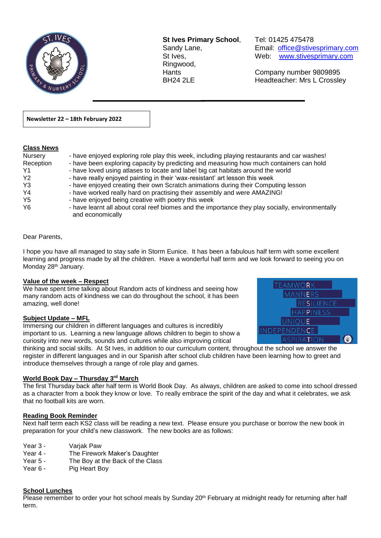

**St Ives Primary School**, Tel: 01425 475478 Ringwood,

Sandy Lane, Email: office@stivesprimary.com St Ives, Web: [www.stivesprimary.com](http://www.stives.dorset.sch.uk/)

Hants Company number 9809895 BH24 2LE Headteacher: Mrs L Crossley

**Newsletter 22 – 18th February 2022** 

#### **Class News**

| Nursery        | - have enjoyed exploring role play this week, including playing restaurants and car washes!                          |
|----------------|----------------------------------------------------------------------------------------------------------------------|
| Reception      | - have been exploring capacity by predicting and measuring how much containers can hold                              |
| Y1             | - have loved using atlases to locate and label big cat habitats around the world                                     |
| Y <sub>2</sub> | - have really enjoyed painting in their 'wax-resistant' art lesson this week                                         |
| Y <sub>3</sub> | - have enjoyed creating their own Scratch animations during their Computing lesson                                   |
| Y <sub>4</sub> | - have worked really hard on practising their assembly and were AMAZING!                                             |
| Y <sub>5</sub> | - have enjoyed being creative with poetry this week                                                                  |
| Y <sub>6</sub> | - have learnt all about coral reef biomes and the importance they play socially, environmentally<br>and economically |

 $\overline{a}$ 

#### Dear Parents,

I hope you have all managed to stay safe in Storm Eunice. It has been a fabulous half term with some excellent learning and progress made by all the children. Have a wonderful half term and we look forward to seeing you on Monday 28<sup>th</sup> January.

#### **Value of the week – Respect**

We have spent time talking about Random acts of kindness and seeing how many random acts of kindness we can do throughout the school, it has been amazing, well done!

#### **Subject Update – MFL**

Immersing our children in different languages and cultures is incredibly important to us. Learning a new language allows children to begin to show a curiosity into new words, sounds and cultures while also improving critical



#### **World Book Day – Thursday 3 rd March**

The first Thursday back after half term is World Book Day. As always, children are asked to come into school dressed as a character from a book they know or love. To really embrace the spirit of the day and what it celebrates, we ask that no football kits are worn.

#### **Reading Book Reminder**

Next half term each KS2 class will be reading a new text. Please ensure you purchase or borrow the new book in preparation for your child's new classwork. The new books are as follows:

- Year 3 Variak Paw
- Year 4 The Firework Maker's Daughter
- Year 5 The Boy at the Back of the Class
- Year 6 Pig Heart Boy

#### **School Lunches**

Please remember to order your hot school meals by Sunday 20<sup>th</sup> February at midnight ready for returning after half term.

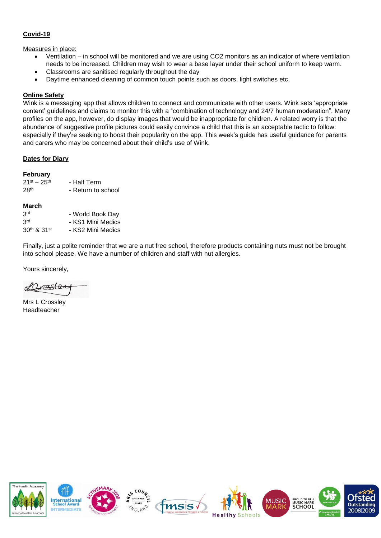# **Covid-19**

#### Measures in place:

- Ventilation in school will be monitored and we are using CO2 monitors as an indicator of where ventilation needs to be increased. Children may wish to wear a base layer under their school uniform to keep warm.
- Classrooms are sanitised regularly throughout the day
- Daytime enhanced cleaning of common touch points such as doors, light switches etc.

#### **Online Safety**

Wink is a messaging app that allows children to connect and communicate with other users. Wink sets 'appropriate content' guidelines and claims to monitor this with a "combination of technology and 24/7 human moderation". Many profiles on the app, however, do display images that would be inappropriate for children. A related worry is that the abundance of suggestive profile pictures could easily convince a child that this is an acceptable tactic to follow: especially if they're seeking to boost their popularity on the app. This week's guide has useful guidance for parents and carers who may be concerned about their child's use of Wink.

#### **Dates for Diary**

#### **February**

| $21^{st} - 25^{th}$ | - Half Term        |
|---------------------|--------------------|
| 28 <sup>th</sup>    | - Return to school |
|                     |                    |
| March               |                    |
|                     |                    |

| 3 <sup>rd</sup> | - KS1 Mini Medics |
|-----------------|-------------------|
| 30th & 31st     | - KS2 Mini Medics |

Finally, just a polite reminder that we are a nut free school, therefore products containing nuts must not be brought into school please. We have a number of children and staff with nut allergies.

Yours sincerely,

Lasslee

Mrs L Crossley Headteacher

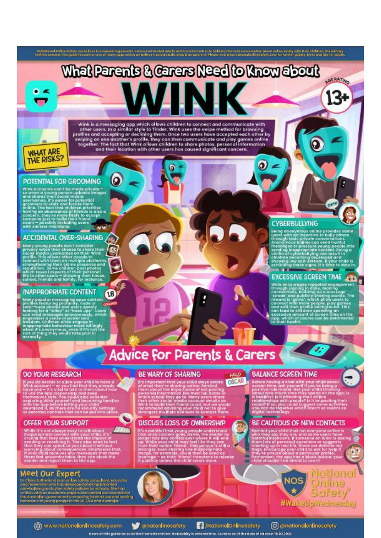

#### POTENTIAL FOR GROOMING

**PUTERITAL FUR ORUUMINU**<br>
With accounts can't be made private -<br>
so when a yearg person uploads images<br>
and shares their social media<br>
groomers is sealer for potential<br>
groomers is sealer for potential<br>
groomers to stalk a

#### **ACCIDENTAL OVER-SHARING**

carry young people don't consider<br>the cy when they choose to short their<br>cital media usernames on their Wink<br>pelial this allows other people to<br>perform the state of the people of the consider<br>properties of their personal<br>f

#### **INAPPROPRIATE CONTENT**

 $\overline{18}$ 

tany popular measurements contains<br>trailes featuring profiling apps contains<br>emi-raude photos and users apenly only an and measurement of the<br>an and measurement of the profile of the profile of<br>the profiling interpretation

# **CYBERBULLYING**

Being anonymous online provides some<br>term with an insertive to bully others<br>through toxic private conversations.<br>Anonymous bullies can send hurtly<br>messages or pressure young people into<br>tending inappropriate content. Being

# **EXCESSIVE SCREEN TIME**

**EXECUTE OF SERVICE NOTE THAT THE SERVICE OF SERVICE SUPPORT SUPPORT SUPPORT OF SUPPORT SUPPORT SUPPORT SUPPORT SUPPORT SUPPORT SUPPORT SUPPORT SUPPORT SUPPORT SUPPORT SUPPORT SUPPORT SUPPORT SUPPORT SUPPORT SUPPORT SUPPOR** 

# **Advice for Parents & Carers**

#### **DO YOUR RESEARCH**

If you do decide to allow your child to have a<br>wink account – or you lind that they already  $\frac{1}{2}$ <br>wink account – or you lind that they already  $\frac{1}{2}$ <br>have one – it's vital to talk to them about how<br>the app responsi

# OFFER YOUR SUPPORT

While it's not always easy to talk about<br>the prepare in the property of the property of the property of the<br>property content with your child, it's<br>crucial that they understand the impact of seel<br>that they can speak to you ann

# Meet Our Expert

e Claire Suthe land is an online today, consultant, educator<br>ad restorcher who has developed and implemented<br>mil-bollying and cyber sutery polities for schools. The hast<br>miles various accelering papers and consult out rese

#### **BE WARY OF SHARING**

It's important that your child stays owere<br>of what they're sharing colline. Remind<br>them about the importance of not posting<br>personal information Ret their full name or<br>which school they go to. Many users share<br>their other OSCAR **Program and Constitution Constitution** 

# DISCUSS LOSS OF OWNERSHIP

It's essential that young people understand<br>that once content goes orient, the sender no<br>longer has any control goes orient that once where it will end<br>up. While your child may feel like they can<br>trust their online thend,

# **BALANCE SCREEN TIME**

**HELD** 

Before hoving a chat with your child about<br>screen time, ask yourself if you're being a<br>positive role model. Get your child thinking<br>positive role model. Get your child thinking<br>it headlivy? It it affecting their critine<br>re

# BE CAUTIOUS OF NEW CONTACTS

Remind your child that not everyone online is<br>who they say they are, and some users have<br>been been assessed to the process of the internal intentions. If someone on Wink is as<br>them lots of personal questions or suggests<br>me



 $\overline{\mathbf{0}}$ 

www.nationalonlinesatety.com Users of this guide do so of their

condonlinesatety m discretion. No liability is entere

MationalOnlineSafety

C @nationalonlinesatety dinto. Current as of the date of release: 16.02.2022